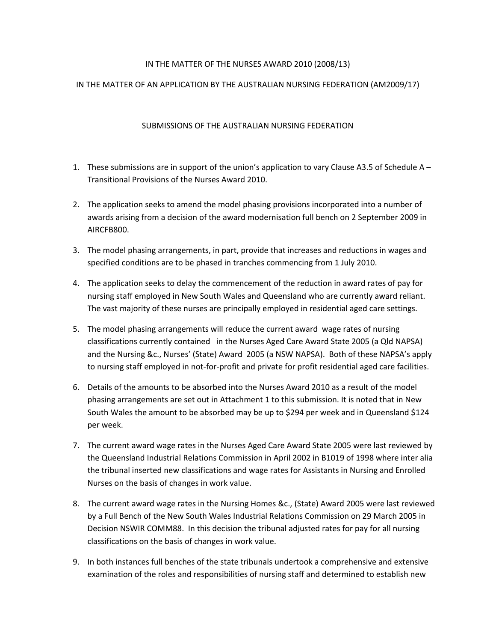## IN THE MATTER OF THE NURSES AWARD 2010 (2008/13)

## IN THE MATTER OF AN APPLICATION BY THE AUSTRALIAN NURSING FEDERATION (AM2009/17)

## SUBMISSIONS OF THE AUSTRALIAN NURSING FEDERATION

- 1. These submissions are in support of the union's application to vary Clause A3.5 of Schedule A Transitional Provisions of the Nurses Award 2010.
- 2. The application seeks to amend the model phasing provisions incorporated into a number of awards arising from a decision of the award modernisation full bench on 2 September 2009 in AIRCFB800.
- 3. The model phasing arrangements, in part, provide that increases and reductions in wages and specified conditions are to be phased in tranches commencing from 1 July 2010.
- 4. The application seeks to delay the commencement of the reduction in award rates of pay for nursing staff employed in New South Wales and Queensland who are currently award reliant. The vast majority of these nurses are principally employed in residential aged care settings.
- 5. The model phasing arrangements will reduce the current award wage rates of nursing classifications currently contained in the Nurses Aged Care Award State 2005 (a Qld NAPSA) and the Nursing &c., Nurses' (State) Award 2005 (a NSW NAPSA). Both of these NAPSA's apply to nursing staff employed in not-for-profit and private for profit residential aged care facilities.
- 6. Details of the amounts to be absorbed into the Nurses Award 2010 as a result of the model phasing arrangements are set out in Attachment 1 to this submission. It is noted that in New South Wales the amount to be absorbed may be up to \$294 per week and in Queensland \$124 per week.
- 7. The current award wage rates in the Nurses Aged Care Award State 2005 were last reviewed by the Queensland Industrial Relations Commission in April 2002 in B1019 of 1998 where inter alia the tribunal inserted new classifications and wage rates for Assistants in Nursing and Enrolled Nurses on the basis of changes in work value.
- 8. The current award wage rates in the Nursing Homes &c., (State) Award 2005 were last reviewed by a Full Bench of the New South Wales Industrial Relations Commission on 29 March 2005 in Decision NSWIR COMM88. In this decision the tribunal adjusted rates for pay for all nursing classifications on the basis of changes in work value.
- 9. In both instances full benches of the state tribunals undertook a comprehensive and extensive examination of the roles and responsibilities of nursing staff and determined to establish new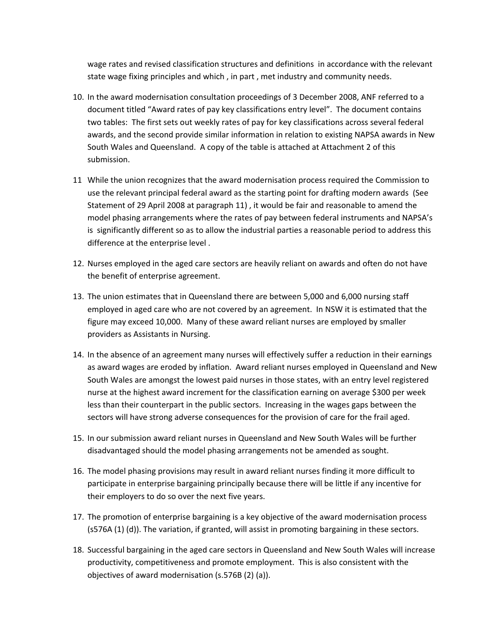wage rates and revised classification structures and definitions in accordance with the relevant state wage fixing principles and which , in part , met industry and community needs.

- 10. In the award modernisation consultation proceedings of 3 December 2008, ANF referred to a document titled "Award rates of pay key classifications entry level". The document contains two tables: The first sets out weekly rates of pay for key classifications across several federal awards, and the second provide similar information in relation to existing NAPSA awards in New South Wales and Queensland. A copy of the table is attached at Attachment 2 of this submission.
- 11 While the union recognizes that the award modernisation process required the Commission to use the relevant principal federal award as the starting point for drafting modern awards (See Statement of 29 April 2008 at paragraph 11) , it would be fair and reasonable to amend the model phasing arrangements where the rates of pay between federal instruments and NAPSA's is significantly different so as to allow the industrial parties a reasonable period to address this difference at the enterprise level .
- 12. Nurses employed in the aged care sectors are heavily reliant on awards and often do not have the benefit of enterprise agreement.
- 13. The union estimates that in Queensland there are between 5,000 and 6,000 nursing staff employed in aged care who are not covered by an agreement. In NSW it is estimated that the figure may exceed 10,000. Many of these award reliant nurses are employed by smaller providers as Assistants in Nursing.
- 14. In the absence of an agreement many nurses will effectively suffer a reduction in their earnings as award wages are eroded by inflation. Award reliant nurses employed in Queensland and New South Wales are amongst the lowest paid nurses in those states, with an entry level registered nurse at the highest award increment for the classification earning on average \$300 per week less than their counterpart in the public sectors. Increasing in the wages gaps between the sectors will have strong adverse consequences for the provision of care for the frail aged.
- 15. In our submission award reliant nurses in Queensland and New South Wales will be further disadvantaged should the model phasing arrangements not be amended as sought.
- 16. The model phasing provisions may result in award reliant nurses finding it more difficult to participate in enterprise bargaining principally because there will be little if any incentive for their employers to do so over the next five years.
- 17. The promotion of enterprise bargaining is a key objective of the award modernisation process (s576A (1) (d)). The variation, if granted, will assist in promoting bargaining in these sectors.
- 18. Successful bargaining in the aged care sectors in Queensland and New South Wales will increase productivity, competitiveness and promote employment. This is also consistent with the objectives of award modernisation (s.576B (2) (a)).